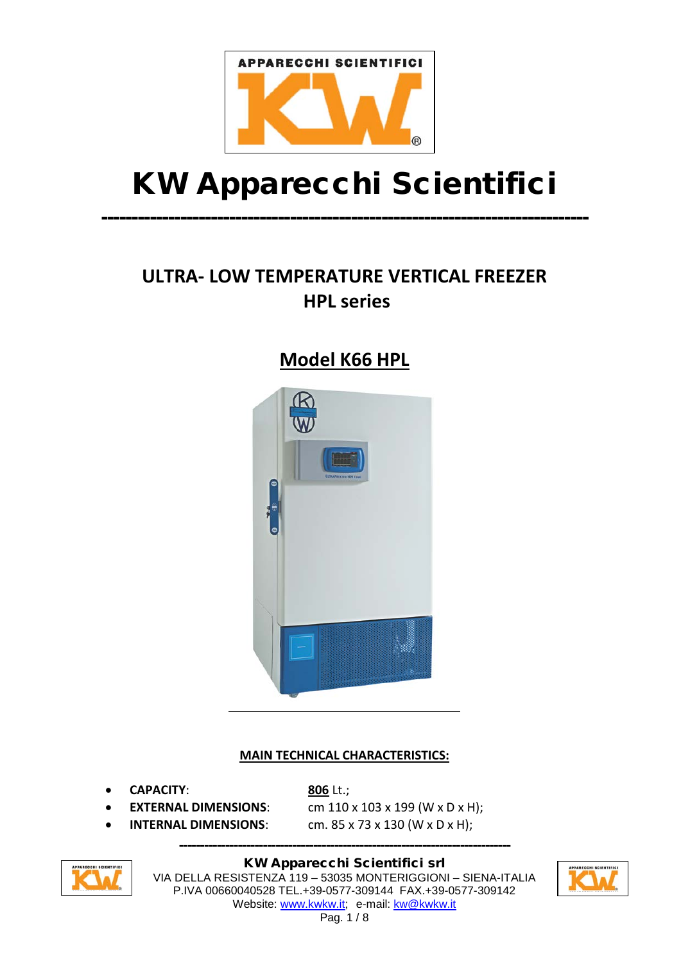

# KW Apparecchi Scientifici

--------------------------------------------------------------------------------

# **ULTRA- LOW TEMPERATURE VERTICAL FREEZER HPL series**

# **Model K66 HPL**



#### **MAIN TECHNICAL CHARACTERISTICS:**

• **CAPACITY**: **806** Lt.;

- 
- 

**EXTERNAL DIMENSIONS:** cm 110 x 103 x 199 (W x D x H); **INTERNAL DIMENSIONS:** cm. 85 x 73 x 130 (W x D x H);



KW Apparecchi Scientifici srl VIA DELLA RESISTENZA 119 – 53035 MONTERIGGIONI – SIENA-ITALIA P.IVA 00660040528 TEL.+39-0577-309144 FAX.+39-0577-309142 Website: [www.kwkw.it;](http://www.kwkw.it/) e-mail: [kw@kwkw.it](mailto:kw@kwkw.it)

-------------------------------------------------------------------------------

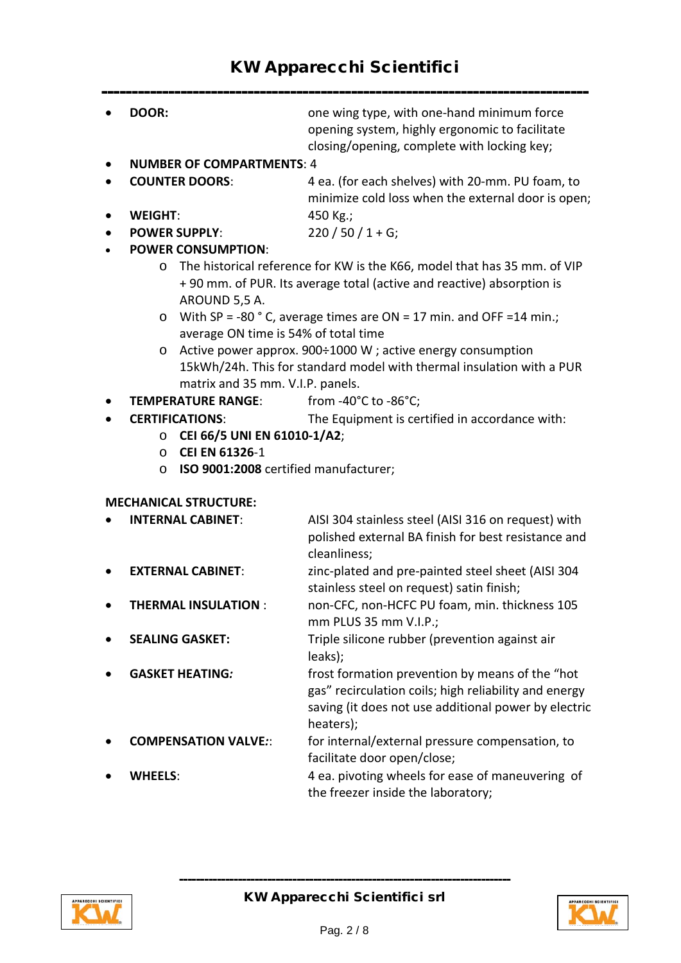### KW Apparecchi Scientifici

|                              | DOOR:                                                                                                                            | one wing type, with one-hand minimum force<br>opening system, highly ergonomic to facilitate           |  |  |
|------------------------------|----------------------------------------------------------------------------------------------------------------------------------|--------------------------------------------------------------------------------------------------------|--|--|
|                              |                                                                                                                                  | closing/opening, complete with locking key;                                                            |  |  |
|                              | <b>NUMBER OF COMPARTMENTS: 4</b>                                                                                                 |                                                                                                        |  |  |
|                              | <b>COUNTER DOORS:</b>                                                                                                            | 4 ea. (for each shelves) with 20-mm. PU foam, to<br>minimize cold loss when the external door is open; |  |  |
|                              | <b>WEIGHT:</b>                                                                                                                   | 450 Kg.;                                                                                               |  |  |
|                              | <b>POWER SUPPLY:</b>                                                                                                             | $220/50/1+G;$                                                                                          |  |  |
|                              | <b>POWER CONSUMPTION:</b>                                                                                                        |                                                                                                        |  |  |
|                              | $\circ$                                                                                                                          | The historical reference for KW is the K66, model that has 35 mm. of VIP                               |  |  |
|                              | AROUND 5,5 A.                                                                                                                    | + 90 mm. of PUR. Its average total (active and reactive) absorption is                                 |  |  |
|                              |                                                                                                                                  |                                                                                                        |  |  |
|                              | With SP = -80 $^{\circ}$ C, average times are ON = 17 min. and OFF = 14 min.;<br>$\circ$<br>average ON time is 54% of total time |                                                                                                        |  |  |
|                              | Active power approx. 900÷1000 W ; active energy consumption<br>$\circ$                                                           |                                                                                                        |  |  |
|                              | 15kWh/24h. This for standard model with thermal insulation with a PUR                                                            |                                                                                                        |  |  |
|                              | matrix and 35 mm. V.I.P. panels.                                                                                                 |                                                                                                        |  |  |
|                              | <b>TEMPERATURE RANGE:</b>                                                                                                        | from -40 $^{\circ}$ C to -86 $^{\circ}$ C;                                                             |  |  |
|                              | <b>CERTIFICATIONS:</b>                                                                                                           | The Equipment is certified in accordance with:                                                         |  |  |
|                              | CEI 66/5 UNI EN 61010-1/A2;<br>O                                                                                                 |                                                                                                        |  |  |
|                              | <b>CEI EN 61326-1</b><br>$\circ$                                                                                                 |                                                                                                        |  |  |
|                              | ISO 9001:2008 certified manufacturer;<br>$\circ$                                                                                 |                                                                                                        |  |  |
|                              |                                                                                                                                  |                                                                                                        |  |  |
| <b>MECHANICAL STRUCTURE:</b> |                                                                                                                                  |                                                                                                        |  |  |
|                              | <b>INTERNAL CABINET:</b>                                                                                                         | AISI 304 stainless steel (AISI 316 on request) with                                                    |  |  |
|                              |                                                                                                                                  | polished external BA finish for best resistance and                                                    |  |  |
|                              |                                                                                                                                  | cleanliness;                                                                                           |  |  |
|                              | <b>EXTERNAL CABINET:</b>                                                                                                         | zinc-plated and pre-painted steel sheet (AISI 304                                                      |  |  |
|                              |                                                                                                                                  | stainless steel on request) satin finish;                                                              |  |  |
|                              | <b>THERMAL INSULATION:</b>                                                                                                       | non-CFC, non-HCFC PU foam, min. thickness 105                                                          |  |  |
|                              |                                                                                                                                  | mm PLUS 35 mm V.I.P.;                                                                                  |  |  |
|                              | <b>SEALING GASKET:</b>                                                                                                           | Triple silicone rubber (prevention against air                                                         |  |  |
|                              |                                                                                                                                  | leaks);                                                                                                |  |  |
|                              | <b>GASKET HEATING:</b>                                                                                                           | frost formation prevention by means of the "hot                                                        |  |  |
|                              |                                                                                                                                  | gas" recirculation coils; high reliability and energy                                                  |  |  |
|                              |                                                                                                                                  | saving (it does not use additional power by electric                                                   |  |  |
|                              | <b>COMPENSATION VALVE::</b>                                                                                                      | heaters);                                                                                              |  |  |
|                              |                                                                                                                                  | for internal/external pressure compensation, to<br>facilitate door open/close;                         |  |  |
|                              | <b>WHEELS:</b>                                                                                                                   |                                                                                                        |  |  |
|                              |                                                                                                                                  | 4 ea. pivoting wheels for ease of maneuvering of<br>the freezer inside the laboratory;                 |  |  |



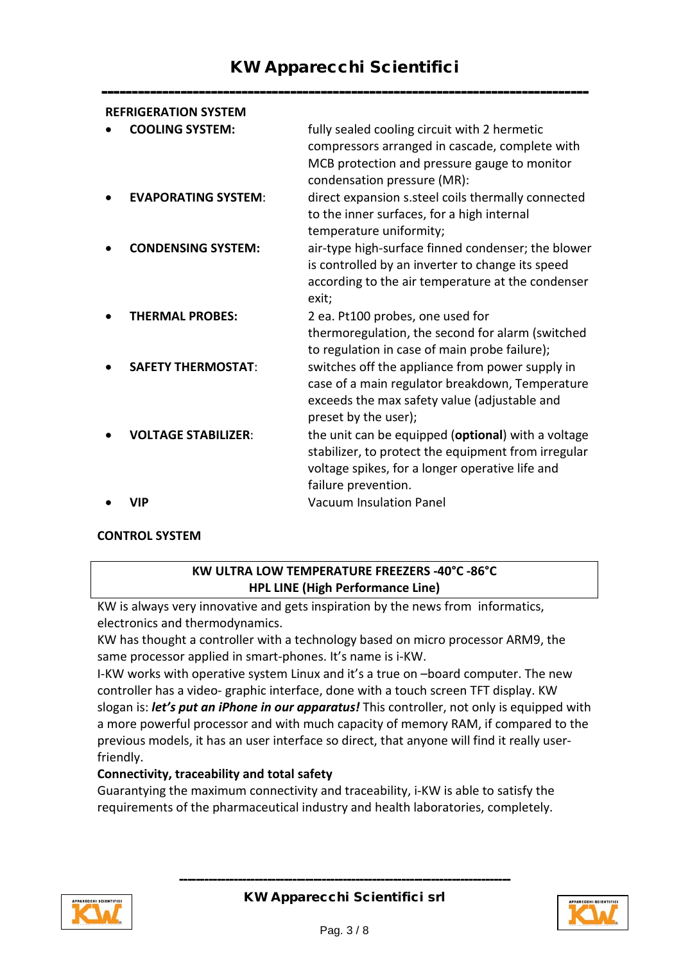--------------------------------------------------------------------------------

| <b>REFRIGERATION SYSTEM</b> |                            |                                                                                                                                                                                     |  |
|-----------------------------|----------------------------|-------------------------------------------------------------------------------------------------------------------------------------------------------------------------------------|--|
|                             | <b>COOLING SYSTEM:</b>     | fully sealed cooling circuit with 2 hermetic<br>compressors arranged in cascade, complete with<br>MCB protection and pressure gauge to monitor<br>condensation pressure (MR):       |  |
|                             | <b>EVAPORATING SYSTEM:</b> | direct expansion s.steel coils thermally connected<br>to the inner surfaces, for a high internal<br>temperature uniformity;                                                         |  |
|                             | <b>CONDENSING SYSTEM:</b>  | air-type high-surface finned condenser; the blower<br>is controlled by an inverter to change its speed<br>according to the air temperature at the condenser<br>exit;                |  |
|                             | <b>THERMAL PROBES:</b>     | 2 ea. Pt100 probes, one used for<br>thermoregulation, the second for alarm (switched<br>to regulation in case of main probe failure);                                               |  |
|                             | <b>SAFETY THERMOSTAT:</b>  | switches off the appliance from power supply in<br>case of a main regulator breakdown, Temperature<br>exceeds the max safety value (adjustable and<br>preset by the user);          |  |
|                             | <b>VOLTAGE STABILIZER:</b> | the unit can be equipped (optional) with a voltage<br>stabilizer, to protect the equipment from irregular<br>voltage spikes, for a longer operative life and<br>failure prevention. |  |
|                             | VIP                        | <b>Vacuum Insulation Panel</b>                                                                                                                                                      |  |

#### **CONTROL SYSTEM**

#### **KW ULTRA LOW TEMPERATURE FREEZERS -40°C -86°C HPL LINE (High Performance Line)**

KW is always very innovative and gets inspiration by the news from informatics, electronics and thermodynamics.

KW has thought a controller with a technology based on micro processor ARM9, the same processor applied in smart-phones. It's name is i-KW.

I-KW works with operative system Linux and it's a true on –board computer. The new controller has a video- graphic interface, done with a touch screen TFT display. KW slogan is: *let's put an iPhone in our apparatus!* This controller, not only is equipped with a more powerful processor and with much capacity of memory RAM, if compared to the previous models, it has an user interface so direct, that anyone will find it really userfriendly.

#### **Connectivity, traceability and total safety**

Guarantying the maximum connectivity and traceability, i-KW is able to satisfy the requirements of the pharmaceutical industry and health laboratories, completely.



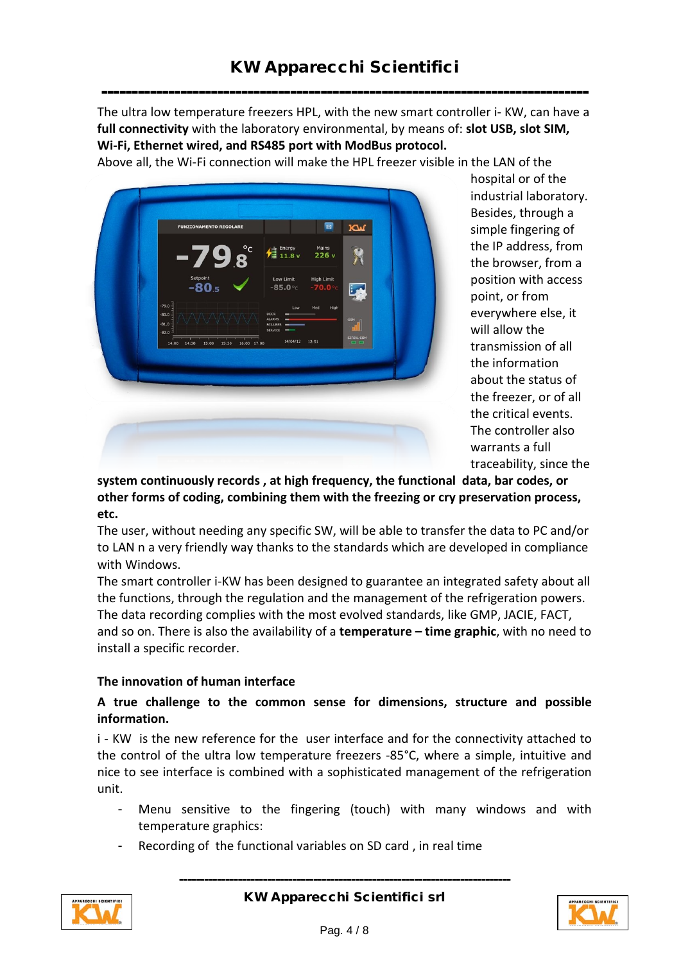-------------------------------------------------------------------------------- The ultra low temperature freezers HPL, with the new smart controller i- KW, can have a **full connectivity** with the laboratory environmental, by means of: **slot USB, slot SIM, Wi-Fi, Ethernet wired, and RS485 port with ModBus protocol.**

Above all, the Wi-Fi connection will make the HPL freezer visible in the LAN of the



hospital or of the industrial laboratory. Besides, through a simple fingering of the IP address, from the browser, from a position with access point, or from everywhere else, it will allow the transmission of all the information about the status of the freezer, or of all the critical events. The controller also warrants a full traceability, since the

**system continuously records , at high frequency, the functional data, bar codes, or other forms of coding, combining them with the freezing or cry preservation process, etc.** 

The user, without needing any specific SW, will be able to transfer the data to PC and/or to LAN n a very friendly way thanks to the standards which are developed in compliance with Windows.

The smart controller i-KW has been designed to guarantee an integrated safety about all the functions, through the regulation and the management of the refrigeration powers. The data recording complies with the most evolved standards, like GMP, JACIE, FACT, and so on. There is also the availability of a **temperature – time graphic**, with no need to install a specific recorder.

#### **The innovation of human interface**

#### **A true challenge to the common sense for dimensions, structure and possible information.**

i - KW is the new reference for the user interface and for the connectivity attached to the control of the ultra low temperature freezers -85°C, where a simple, intuitive and nice to see interface is combined with a sophisticated management of the refrigeration unit.

- Menu sensitive to the fingering (touch) with many windows and with temperature graphics:
	- Recording of the functional variables on SD card, in real time

-------------------------------------------------------------------------------



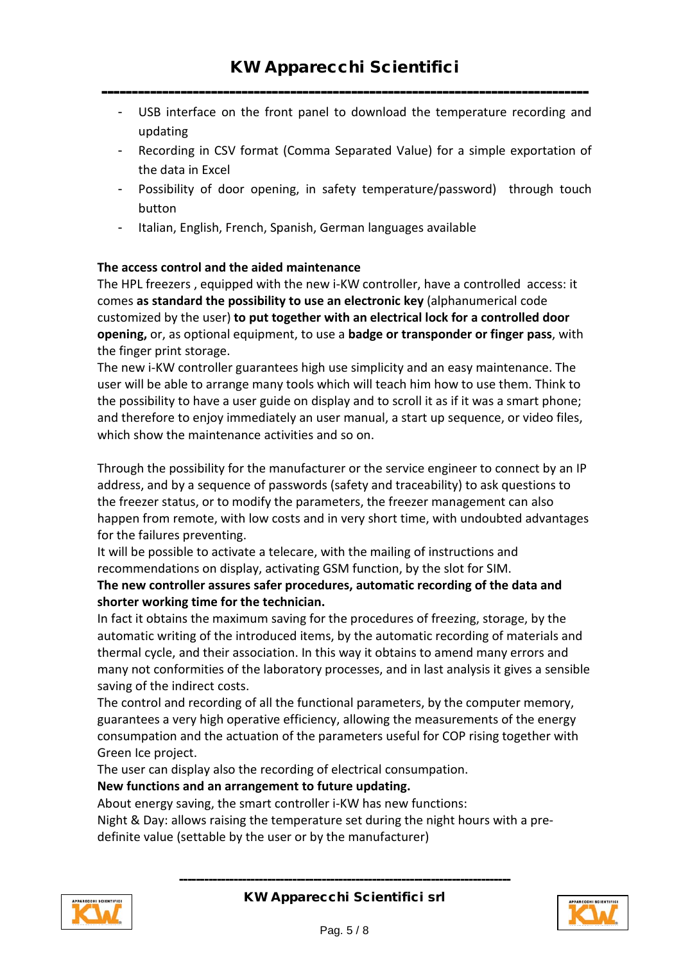### --------------------------------------------------------------------------------

- USB interface on the front panel to download the temperature recording and updating
- Recording in CSV format (Comma Separated Value) for a simple exportation of the data in Excel
- Possibility of door opening, in safety temperature/password) through touch button
- Italian, English, French, Spanish, German languages available

#### **The access control and the aided maintenance**

The HPL freezers , equipped with the new i-KW controller, have a controlled access: it comes **as standard the possibility to use an electronic key** (alphanumerical code customized by the user) **to put together with an electrical lock for a controlled door opening,** or, as optional equipment, to use a **badge or transponder or finger pass**, with the finger print storage.

The new i-KW controller guarantees high use simplicity and an easy maintenance. The user will be able to arrange many tools which will teach him how to use them. Think to the possibility to have a user guide on display and to scroll it as if it was a smart phone; and therefore to enjoy immediately an user manual, a start up sequence, or video files, which show the maintenance activities and so on.

Through the possibility for the manufacturer or the service engineer to connect by an IP address, and by a sequence of passwords (safety and traceability) to ask questions to the freezer status, or to modify the parameters, the freezer management can also happen from remote, with low costs and in very short time, with undoubted advantages for the failures preventing.

It will be possible to activate a telecare, with the mailing of instructions and recommendations on display, activating GSM function, by the slot for SIM.

#### **The new controller assures safer procedures, automatic recording of the data and shorter working time for the technician.**

In fact it obtains the maximum saving for the procedures of freezing, storage, by the automatic writing of the introduced items, by the automatic recording of materials and thermal cycle, and their association. In this way it obtains to amend many errors and many not conformities of the laboratory processes, and in last analysis it gives a sensible saving of the indirect costs.

The control and recording of all the functional parameters, by the computer memory, guarantees a very high operative efficiency, allowing the measurements of the energy consumpation and the actuation of the parameters useful for COP rising together with Green Ice project.

The user can display also the recording of electrical consumpation.

#### **New functions and an arrangement to future updating.**

About energy saving, the smart controller i-KW has new functions:

Night & Day: allows raising the temperature set during the night hours with a predefinite value (settable by the user or by the manufacturer)



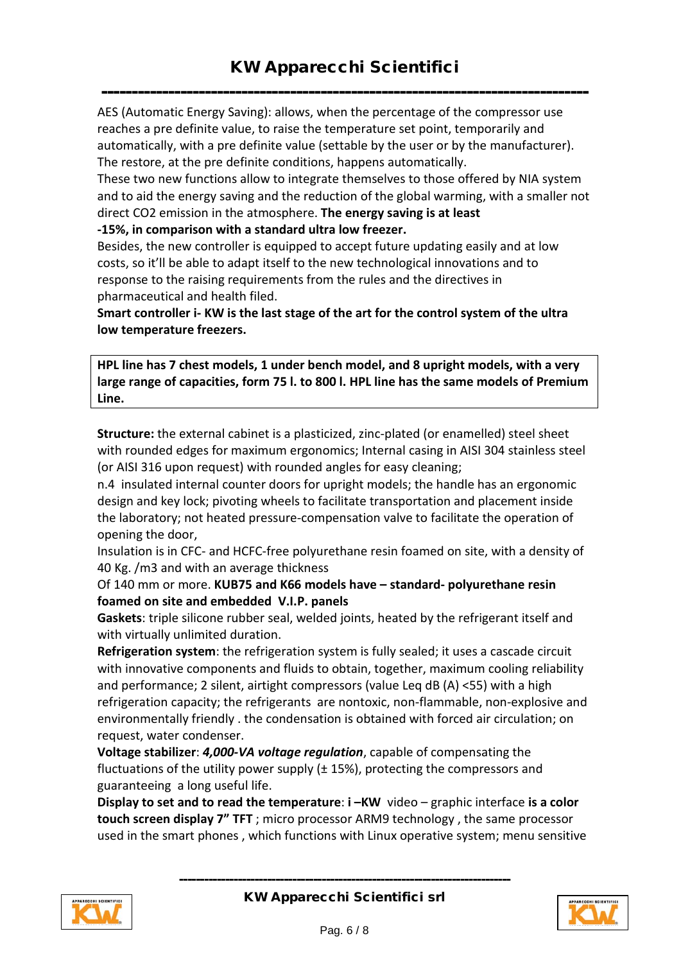-------------------------------------------------------------------------------- AES (Automatic Energy Saving): allows, when the percentage of the compressor use reaches a pre definite value, to raise the temperature set point, temporarily and automatically, with a pre definite value (settable by the user or by the manufacturer). The restore, at the pre definite conditions, happens automatically.

These two new functions allow to integrate themselves to those offered by NIA system and to aid the energy saving and the reduction of the global warming, with a smaller not direct CO2 emission in the atmosphere. **The energy saving is at least** 

**-15%, in comparison with a standard ultra low freezer.** 

Besides, the new controller is equipped to accept future updating easily and at low costs, so it'll be able to adapt itself to the new technological innovations and to response to the raising requirements from the rules and the directives in pharmaceutical and health filed.

**Smart controller i- KW is the last stage of the art for the control system of the ultra low temperature freezers.** 

**HPL line has 7 chest models, 1 under bench model, and 8 upright models, with a very large range of capacities, form 75 l. to 800 l. HPL line has the same models of Premium Line.** 

**Structure:** the external cabinet is a plasticized, zinc-plated (or enamelled) steel sheet with rounded edges for maximum ergonomics; Internal casing in AISI 304 stainless steel (or AISI 316 upon request) with rounded angles for easy cleaning;

n.4 insulated internal counter doors for upright models; the handle has an ergonomic design and key lock; pivoting wheels to facilitate transportation and placement inside the laboratory; not heated pressure-compensation valve to facilitate the operation of opening the door,

Insulation is in CFC- and HCFC-free polyurethane resin foamed on site, with a density of 40 Kg. /m3 and with an average thickness

#### Of 140 mm or more. **KUB75 and K66 models have – standard- polyurethane resin foamed on site and embedded V.I.P. panels**

**Gaskets**: triple silicone rubber seal, welded joints, heated by the refrigerant itself and with virtually unlimited duration.

**Refrigeration system**: the refrigeration system is fully sealed; it uses a cascade circuit with innovative components and fluids to obtain, together, maximum cooling reliability and performance; 2 silent, airtight compressors (value Leq dB (A) <55) with a high refrigeration capacity; the refrigerants are nontoxic, non-flammable, non-explosive and environmentally friendly . the condensation is obtained with forced air circulation; on request, water condenser.

**Voltage stabilizer**: *4,000-VA voltage regulation*, capable of compensating the fluctuations of the utility power supply (± 15%), protecting the compressors and guaranteeing a long useful life.

**Display to set and to read the temperature**: **i –KW** video – graphic interface **is a color touch screen display 7" TFT** ; micro processor ARM9 technology , the same processor used in the smart phones , which functions with Linux operative system; menu sensitive



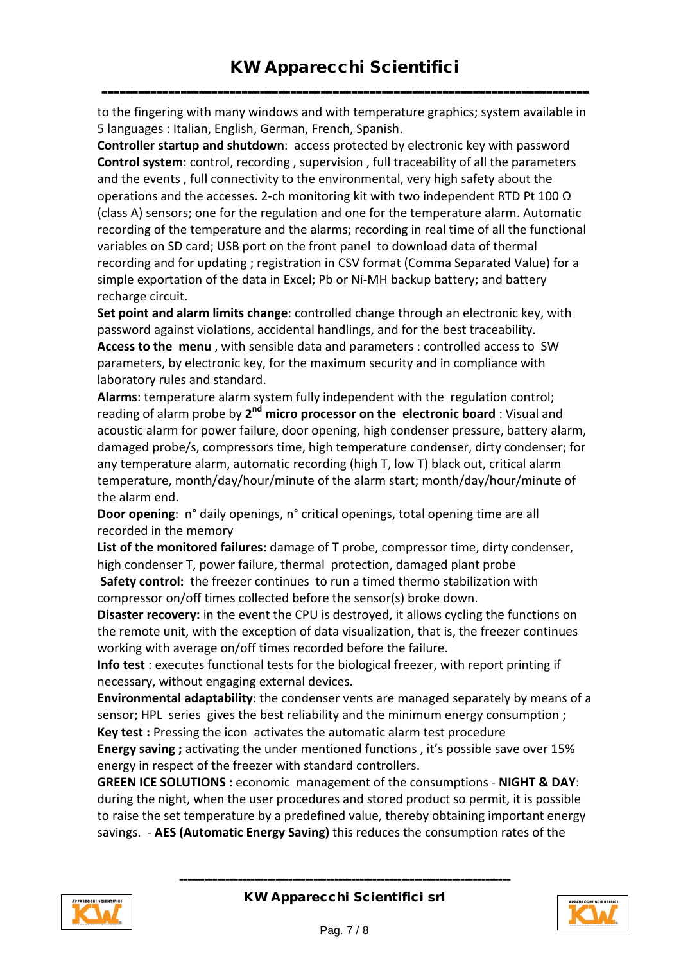------------------------------------------------------------------------------- to the fingering with many windows and with temperature graphics; system available in 5 languages : Italian, English, German, French, Spanish.

**Controller startup and shutdown**: access protected by electronic key with password **Control system**: control, recording , supervision , full traceability of all the parameters and the events , full connectivity to the environmental, very high safety about the operations and the accesses. 2-ch monitoring kit with two independent RTD Pt 100  $\Omega$ (class A) sensors; one for the regulation and one for the temperature alarm. Automatic recording of the temperature and the alarms; recording in real time of all the functional variables on SD card; USB port on the front panel to download data of thermal recording and for updating ; registration in CSV format (Comma Separated Value) for a simple exportation of the data in Excel; Pb or Ni-MH backup battery; and battery recharge circuit.

**Set point and alarm limits change**: controlled change through an electronic key, with password against violations, accidental handlings, and for the best traceability. **Access to the menu** , with sensible data and parameters : controlled access to SW parameters, by electronic key, for the maximum security and in compliance with laboratory rules and standard.

**Alarms**: temperature alarm system fully independent with the regulation control; reading of alarm probe by **2nd micro processor on the electronic board** : Visual and acoustic alarm for power failure, door opening, high condenser pressure, battery alarm, damaged probe/s, compressors time, high temperature condenser, dirty condenser; for any temperature alarm, automatic recording (high T, low T) black out, critical alarm temperature, month/day/hour/minute of the alarm start; month/day/hour/minute of the alarm end.

**Door opening**: n° daily openings, n° critical openings, total opening time are all recorded in the memory

**List of the monitored failures:** damage of T probe, compressor time, dirty condenser, high condenser T, power failure, thermal protection, damaged plant probe **Safety control:** the freezer continues to run a timed thermo stabilization with compressor on/off times collected before the sensor(s) broke down.

**Disaster recovery:** in the event the CPU is destroyed, it allows cycling the functions on the remote unit, with the exception of data visualization, that is, the freezer continues working with average on/off times recorded before the failure.

**Info test** : executes functional tests for the biological freezer, with report printing if necessary, without engaging external devices.

**Environmental adaptability**: the condenser vents are managed separately by means of a sensor; HPL series gives the best reliability and the minimum energy consumption ; **Key test :** Pressing the icon activates the automatic alarm test procedure

**Energy saving ;** activating the under mentioned functions , it's possible save over 15% energy in respect of the freezer with standard controllers.

**GREEN ICE SOLUTIONS :** economic management of the consumptions - **NIGHT & DAY**: during the night, when the user procedures and stored product so permit, it is possible to raise the set temperature by a predefined value, thereby obtaining important energy savings. - **AES (Automatic Energy Saving)** this reduces the consumption rates of the